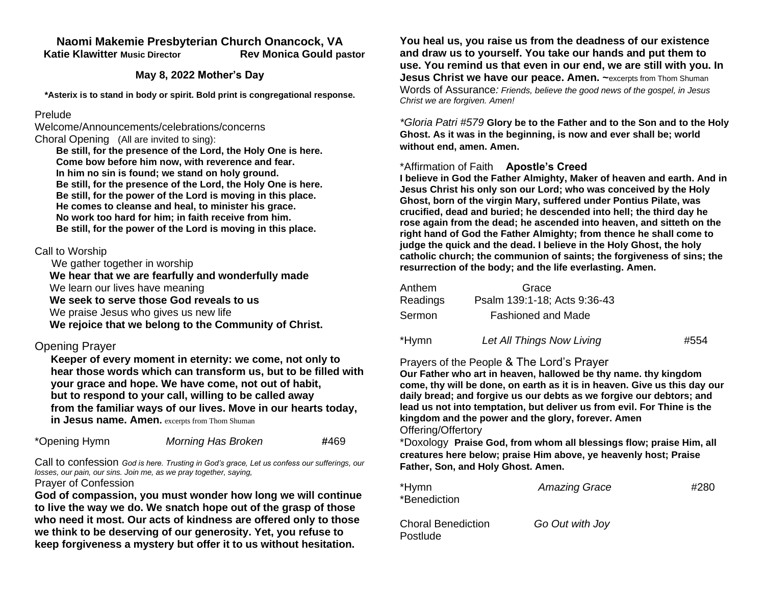## **Naomi Makemie Presbyterian Church Onancock, VA Katie Klawitter Music Director Rev Monica Gould pastor**

#### **May 8, 2022 Mother's Day**

**\*Asterix is to stand in body or spirit. Bold print is congregational response.**

#### Prelude

Welcome/Announcements/celebrations/concerns Choral Opening (All are invited to sing):

 **Be still, for the presence of the Lord, the Holy One is here. Come bow before him now, with reverence and fear. In him no sin is found; we stand on holy ground. Be still, for the presence of the Lord, the Holy One is here. Be still, for the power of the Lord is moving in this place. He comes to cleanse and heal, to minister his grace. No work too hard for him; in faith receive from him. Be still, for the power of the Lord is moving in this place.**

## Call to Worship

 We gather together in worship  **We hear that we are fearfully and wonderfully made** We learn our lives have meaning  **We seek to serve those God reveals to us** We praise Jesus who gives us new life  **We rejoice that we belong to the Community of Christ.** 

## Opening Prayer

**Keeper of every moment in eternity: we come, not only to hear those words which can transform us, but to be filled with your grace and hope. We have come, not out of habit, but to respond to your call, willing to be called away from the familiar ways of our lives. Move in our hearts today, in Jesus name. Amen.** excerpts from Thom Shuman

| *Opening Hymn | <b>Morning Has Broken</b> | #469 |
|---------------|---------------------------|------|
|---------------|---------------------------|------|

Call to confession *God is here. Trusting in God's grace, Let us confess our sufferings, our losses, our pain, our sins. Join me, as we pray together, saying,*

Prayer of Confession

**God of compassion, you must wonder how long we will continue to live the way we do. We snatch hope out of the grasp of those who need it most. Our acts of kindness are offered only to those we think to be deserving of our generosity. Yet, you refuse to keep forgiveness a mystery but offer it to us without hesitation.** 

**You heal us, you raise us from the deadness of our existence and draw us to yourself. You take our hands and put them to use. You remind us that even in our end, we are still with you. In Jesus Christ we have our peace. Amen.** ~excerpts from Thom Shuman Words of Assurance*: Friends, believe the good news of the gospel, in Jesus Christ we are forgiven. Amen!*

*\*Gloria Patri #579* **Glory be to the Father and to the Son and to the Holy Ghost. As it was in the beginning, is now and ever shall be; world without end, amen. Amen.** 

## \*Affirmation of Faith **Apostle's Creed**

**I believe in God the Father Almighty, Maker of heaven and earth. And in Jesus Christ his only son our Lord; who was conceived by the Holy Ghost, born of the virgin Mary, suffered under Pontius Pilate, was crucified, dead and buried; he descended into hell; the third day he rose again from the dead; he ascended into heaven, and sitteth on the right hand of God the Father Almighty; from thence he shall come to judge the quick and the dead. I believe in the Holy Ghost, the holy catholic church; the communion of saints; the forgiveness of sins; the resurrection of the body; and the life everlasting. Amen.**

| Anthem   | Grace                        |      |
|----------|------------------------------|------|
| Readings | Psalm 139:1-18; Acts 9:36-43 |      |
| Sermon   | <b>Fashioned and Made</b>    |      |
| *Hymn    | Let All Things Now Living    | #554 |

### Prayers of the People & The Lord's Prayer

**Our Father who art in heaven, hallowed be thy name. thy kingdom come, thy will be done, on earth as it is in heaven. Give us this day our daily bread; and forgive us our debts as we forgive our debtors; and lead us not into temptation, but deliver us from evil. For Thine is the kingdom and the power and the glory, forever. Amen** Offering/Offertory

\*Doxology **Praise God, from whom all blessings flow; praise Him, all creatures here below; praise Him above, ye heavenly host; Praise Father, Son, and Holy Ghost. Amen.** 

| *Hymn<br>*Benediction                 | <b>Amazing Grace</b> | #280 |
|---------------------------------------|----------------------|------|
| <b>Choral Benediction</b><br>Postlude | Go Out with Joy      |      |